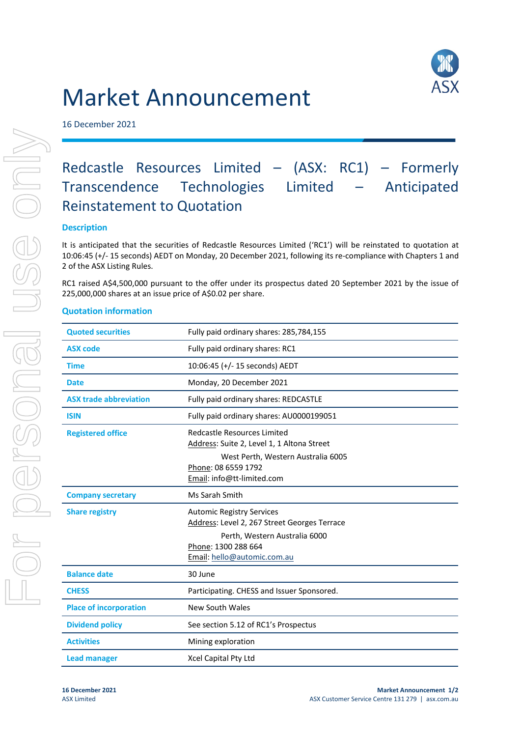## Market Announcement

16 December 2021



## Redcastle Resources Limited – (ASX: RC1) – Formerly Transcendence Technologies Limited – Anticipated Reinstatement to Quotation

## **Description**

It is anticipated that the securities of Redcastle Resources Limited ('RC1') will be reinstated to quotation at 10:06:45 (+/- 15 seconds) AEDT on Monday, 20 December 2021, following its re-compliance with Chapters 1 and 2 of the ASX Listing Rules.

RC1 raised A\$4,500,000 pursuant to the offer under its prospectus dated 20 September 2021 by the issue of 225,000,000 shares at an issue price of A\$0.02 per share.

## **Quotation information**

| <b>Quoted securities</b>      | Fully paid ordinary shares: 285,784,155                                                                                                                                 |  |
|-------------------------------|-------------------------------------------------------------------------------------------------------------------------------------------------------------------------|--|
| <b>ASX code</b>               | Fully paid ordinary shares: RC1                                                                                                                                         |  |
| <b>Time</b>                   | 10:06:45 (+/- 15 seconds) AEDT                                                                                                                                          |  |
| <b>Date</b>                   | Monday, 20 December 2021                                                                                                                                                |  |
| <b>ASX trade abbreviation</b> | Fully paid ordinary shares: REDCASTLE                                                                                                                                   |  |
| <b>ISIN</b>                   | Fully paid ordinary shares: AU0000199051                                                                                                                                |  |
| <b>Registered office</b>      | Redcastle Resources Limited<br>Address: Suite 2, Level 1, 1 Altona Street<br>West Perth, Western Australia 6005<br>Phone: 08 6559 1792<br>Email: info@tt-limited.com    |  |
| <b>Company secretary</b>      | Ms Sarah Smith                                                                                                                                                          |  |
| <b>Share registry</b>         | <b>Automic Registry Services</b><br>Address: Level 2, 267 Street Georges Terrace<br>Perth, Western Australia 6000<br>Phone: 1300 288 664<br>Email: hello@automic.com.au |  |
| <b>Balance date</b>           | 30 June                                                                                                                                                                 |  |
| <b>CHESS</b>                  | Participating. CHESS and Issuer Sponsored.                                                                                                                              |  |
| <b>Place of incorporation</b> | New South Wales                                                                                                                                                         |  |
| <b>Dividend policy</b>        | See section 5.12 of RC1's Prospectus                                                                                                                                    |  |
| <b>Activities</b>             | Mining exploration                                                                                                                                                      |  |
| <b>Lead manager</b>           | Xcel Capital Pty Ltd                                                                                                                                                    |  |